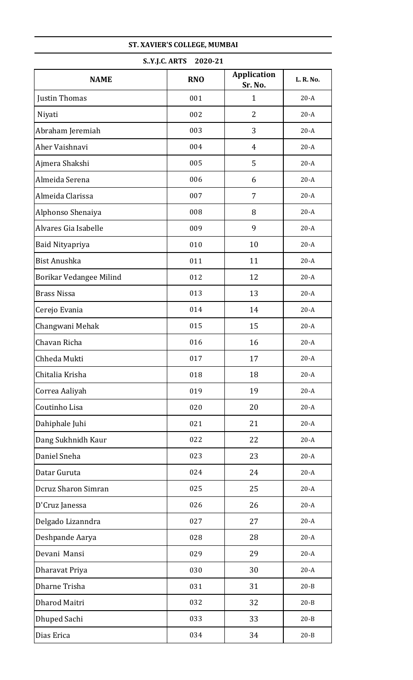| S.Y.J.C. ARTS<br>2020-21 |            |                               |           |  |
|--------------------------|------------|-------------------------------|-----------|--|
| <b>NAME</b>              | <b>RNO</b> | <b>Application</b><br>Sr. No. | L. R. No. |  |
| Justin Thomas            | 001        | $\mathbf{1}$                  | $20-A$    |  |
| Niyati                   | 002        | $\overline{2}$                | $20-A$    |  |
| Abraham Jeremiah         | 003        | 3                             | $20-A$    |  |
| Aher Vaishnavi           | 004        | $\overline{4}$                | $20-A$    |  |
| Ajmera Shakshi           | 005        | 5                             | $20-A$    |  |
| Almeida Serena           | 006        | 6                             | $20-A$    |  |
| Almeida Clarissa         | 007        | 7                             | $20-A$    |  |
| Alphonso Shenaiya        | 008        | 8                             | $20-A$    |  |
| Alvares Gia Isabelle     | 009        | 9                             | $20-A$    |  |
| Baid Nityapriya          | 010        | 10                            | $20-A$    |  |
| <b>Bist Anushka</b>      | 011        | 11                            | $20-A$    |  |
| Borikar Vedangee Milind  | 012        | 12                            | $20-A$    |  |
| <b>Brass Nissa</b>       | 013        | 13                            | $20-A$    |  |
| Cerejo Evania            | 014        | 14                            | $20-A$    |  |
| Changwani Mehak          | 015        | 15                            | $20-A$    |  |
| Chavan Richa             | 016        | 16                            | $20-A$    |  |
| Chheda Mukti             | 017        | 17                            | $20-A$    |  |
| Chitalia Krisha          | 018        | 18                            | $20-A$    |  |
| Correa Aaliyah           | 019        | 19                            | $20-A$    |  |
| Coutinho Lisa            | 020        | 20                            | $20-A$    |  |
| Dahiphale Juhi           | 021        | 21                            | $20-A$    |  |
| Dang Sukhnidh Kaur       | 022        | 22                            | $20-A$    |  |
| Daniel Sneha             | 023        | 23                            | $20-A$    |  |
| Datar Guruta             | 024        | 24                            | $20-A$    |  |
| Dcruz Sharon Simran      | 025        | 25                            | $20-A$    |  |
| D'Cruz Janessa           | 026        | 26                            | $20-A$    |  |
| Delgado Lizanndra        | 027        | 27                            | $20-A$    |  |
| Deshpande Aarya          | 028        | 28                            | $20-A$    |  |
| Devani Mansi             | 029        | 29                            | $20-A$    |  |
| Dharavat Priya           | 030        | 30                            | $20-A$    |  |
| Dharne Trisha            | 031        | 31                            | $20 - B$  |  |
| Dharod Maitri            | 032        | 32                            | $20 - B$  |  |
| Dhuped Sachi             | 033        | 33                            | $20 - B$  |  |
| Dias Erica               | 034        | 34                            | $20 - B$  |  |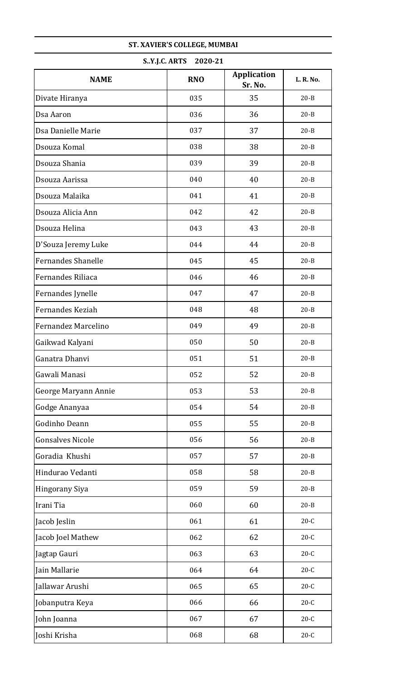| S.Y.J.C. ARTS 2020-21     |            |                               |           |
|---------------------------|------------|-------------------------------|-----------|
| <b>NAME</b>               | <b>RNO</b> | <b>Application</b><br>Sr. No. | L. R. No. |
| Divate Hiranya            | 035        | 35                            | $20 - B$  |
| Dsa Aaron                 | 036        | 36                            | $20 - B$  |
| Dsa Danielle Marie        | 037        | 37                            | $20 - B$  |
| Dsouza Komal              | 038        | 38                            | $20 - B$  |
| Dsouza Shania             | 039        | 39                            | $20 - B$  |
| Dsouza Aarissa            | 040        | 40                            | $20 - B$  |
| Dsouza Malaika            | 041        | 41                            | $20 - B$  |
| Dsouza Alicia Ann         | 042        | 42                            | $20 - B$  |
| Dsouza Helina             | 043        | 43                            | $20 - B$  |
| D'Souza Jeremy Luke       | 044        | 44                            | $20 - B$  |
| <b>Fernandes Shanelle</b> | 045        | 45                            | $20 - B$  |
| Fernandes Riliaca         | 046        | 46                            | $20 - B$  |
| Fernandes Jynelle         | 047        | 47                            | $20 - B$  |
| Fernandes Keziah          | 048        | 48                            | $20 - B$  |
| Fernandez Marcelino       | 049        | 49                            | $20 - B$  |
| Gaikwad Kalyani           | 050        | 50                            | $20 - B$  |
| Ganatra Dhanvi            | 051        | 51                            | $20 - B$  |
| Gawali Manasi             | 052        | 52                            | $20 - B$  |
| George Maryann Annie      | 053        | 53                            | $20 - B$  |
| Godge Ananyaa             | 054        | 54                            | $20 - B$  |
| Godinho Deann             | 055        | 55                            | $20 - B$  |
| <b>Gonsalves Nicole</b>   | 056        | 56                            | $20 - B$  |
| Goradia Khushi            | 057        | 57                            | $20 - B$  |
| Hindurao Vedanti          | 058        | 58                            | $20 - B$  |
| Hingorany Siya            | 059        | 59                            | $20 - B$  |
| Irani Tia                 | 060        | 60                            | $20 - B$  |
| Jacob Jeslin              | 061        | 61                            | $20-C$    |
| Jacob Joel Mathew         | 062        | 62                            | $20-C$    |
| Jagtap Gauri              | 063        | 63                            | $20-C$    |
| Jain Mallarie             | 064        | 64                            | $20-C$    |
| Jallawar Arushi           | 065        | 65                            | $20-C$    |
| Jobanputra Keya           | 066        | 66                            | $20-C$    |
| John Joanna               | 067        | 67                            | $20-C$    |
| Joshi Krisha              | 068        | 68                            | $20-C$    |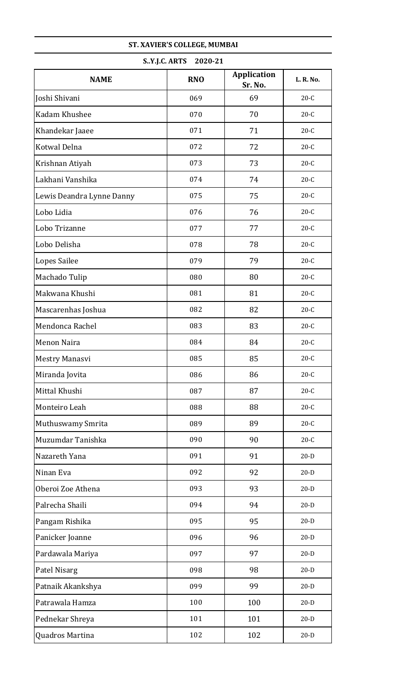| S.Y.J.C. ARTS<br>2020-21  |            |                               |           |
|---------------------------|------------|-------------------------------|-----------|
| <b>NAME</b>               | <b>RNO</b> | <b>Application</b><br>Sr. No. | L. R. No. |
| Joshi Shivani             | 069        | 69                            | $20-C$    |
| Kadam Khushee             | 070        | 70                            | $20-C$    |
| Khandekar Jaaee           | 071        | 71                            | $20-C$    |
| Kotwal Delna              | 072        | 72                            | $20-C$    |
| Krishnan Atiyah           | 073        | 73                            | $20-C$    |
| Lakhani Vanshika          | 074        | 74                            | $20-C$    |
| Lewis Deandra Lynne Danny | 075        | 75                            | $20-C$    |
| Lobo Lidia                | 076        | 76                            | $20-C$    |
| Lobo Trizanne             | 077        | 77                            | $20-C$    |
| Lobo Delisha              | 078        | 78                            | $20-C$    |
| Lopes Sailee              | 079        | 79                            | $20-C$    |
| Machado Tulip             | 080        | 80                            | $20-C$    |
| Makwana Khushi            | 081        | 81                            | $20-C$    |
| Mascarenhas Joshua        | 082        | 82                            | $20-C$    |
| Mendonca Rachel           | 083        | 83                            | $20-C$    |
| Menon Naira               | 084        | 84                            | $20-C$    |
| Mestry Manasvi            | 085        | 85                            | $20-C$    |
| Miranda Jovita            | 086        | 86                            | $20-C$    |
| Mittal Khushi             | 087        | 87                            | $20-C$    |
| Monteiro Leah             | 088        | 88                            | $20-C$    |
| Muthuswamy Smrita         | 089        | 89                            | $20-C$    |
| Muzumdar Tanishka         | 090        | 90                            | $20-C$    |
| Nazareth Yana             | 091        | 91                            | $20-D$    |
| Ninan Eva                 | 092        | 92                            | $20-D$    |
| Oberoi Zoe Athena         | 093        | 93                            | $20-D$    |
| Palrecha Shaili           | 094        | 94                            | $20-D$    |
| Pangam Rishika            | 095        | 95                            | $20-D$    |
| Panicker Joanne           | 096        | 96                            | $20-D$    |
| Pardawala Mariya          | 097        | 97                            | $20-D$    |
| Patel Nisarg              | 098        | 98                            | $20-D$    |
| Patnaik Akankshya         | 099        | 99                            | $20-D$    |
| Patrawala Hamza           | 100        | 100                           | $20-D$    |
| Pednekar Shreya           | 101        | 101                           | $20-D$    |
| Quadros Martina           | 102        | 102                           | $20-D$    |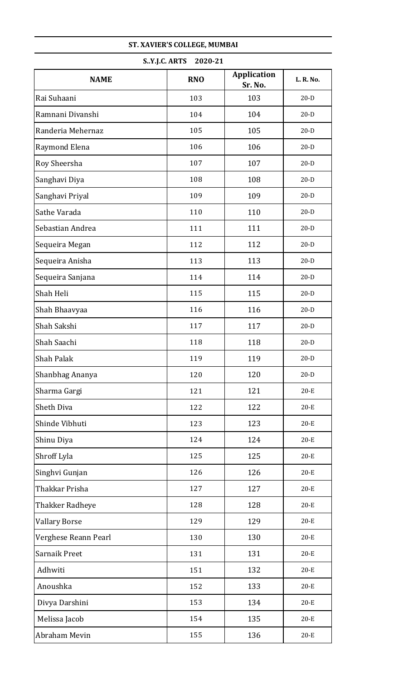| S.Y.J.C. ARTS<br>2020-21 |            |                               |           |  |
|--------------------------|------------|-------------------------------|-----------|--|
| <b>NAME</b>              | <b>RNO</b> | <b>Application</b><br>Sr. No. | L. R. No. |  |
| Rai Suhaani              | 103        | 103                           | $20-D$    |  |
| Ramnani Divanshi         | 104        | 104                           | $20-D$    |  |
| Randeria Mehernaz        | 105        | 105                           | $20-D$    |  |
| Raymond Elena            | 106        | 106                           | $20-D$    |  |
| Roy Sheersha             | 107        | 107                           | $20-D$    |  |
| Sanghavi Diya            | 108        | 108                           | $20-D$    |  |
| Sanghavi Priyal          | 109        | 109                           | $20-D$    |  |
| Sathe Varada             | 110        | 110                           | $20-D$    |  |
| Sebastian Andrea         | 111        | 111                           | $20-D$    |  |
| Sequeira Megan           | 112        | 112                           | $20-D$    |  |
| Sequeira Anisha          | 113        | 113                           | $20-D$    |  |
| Sequeira Sanjana         | 114        | 114                           | $20-D$    |  |
| Shah Heli                | 115        | 115                           | $20-D$    |  |
| Shah Bhaavyaa            | 116        | 116                           | $20-D$    |  |
| Shah Sakshi              | 117        | 117                           | $20-D$    |  |
| Shah Saachi              | 118        | 118                           | $20-D$    |  |
| <b>Shah Palak</b>        | 119        | 119                           | $20-D$    |  |
| Shanbhag Ananya          | 120        | 120                           | $20-D$    |  |
| Sharma Gargi             | 121        | 121                           | $20-E$    |  |
| Sheth Diva               | 122        | 122                           | $20-E$    |  |
| Shinde Vibhuti           | 123        | 123                           | $20-E$    |  |
| Shinu Diya               | 124        | 124                           | $20-E$    |  |
| Shroff Lyla              | 125        | 125                           | $20-E$    |  |
| Singhvi Gunjan           | 126        | 126                           | $20-E$    |  |
| Thakkar Prisha           | 127        | 127                           | $20-E$    |  |
| Thakker Radheye          | 128        | 128                           | $20-E$    |  |
| <b>Vallary Borse</b>     | 129        | 129                           | $20-E$    |  |
| Verghese Reann Pearl     | 130        | 130                           | $20-E$    |  |
| Sarnaik Preet            | 131        | 131                           | $20-E$    |  |
| Adhwiti                  | 151        | 132                           | $20-E$    |  |
| Anoushka                 | 152        | 133                           | $20-E$    |  |
| Divya Darshini           | 153        | 134                           | $20-E$    |  |
| Melissa Jacob            | 154        | 135                           | $20-E$    |  |
| Abraham Mevin            | 155        | 136                           | $20-E$    |  |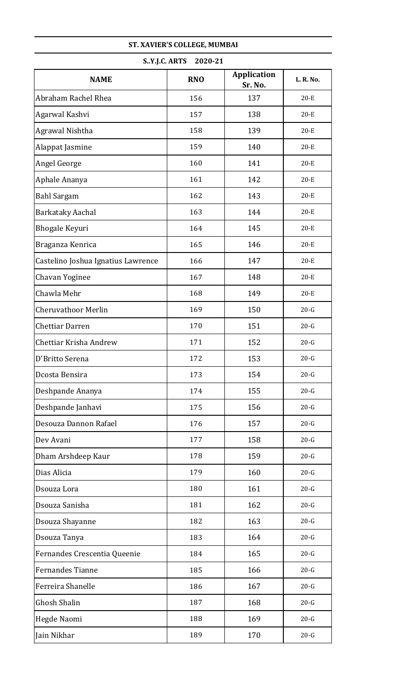| S.Y.J.C. ARTS<br>2020-21           |            |                               |           |
|------------------------------------|------------|-------------------------------|-----------|
| <b>NAME</b>                        | <b>RNO</b> | <b>Application</b><br>Sr. No. | L. R. No. |
| Abraham Rachel Rhea                | 156        | 137                           | $20-E$    |
| Agarwal Kashvi                     | 157        | 138                           | $20-E$    |
| Agrawal Nishtha                    | 158        | 139                           | $20-E$    |
| Alappat Jasmine                    | 159        | 140                           | $20-E$    |
| Angel George                       | 160        | 141                           | $20-E$    |
| Aphale Ananya                      | 161        | 142                           | $20-E$    |
| <b>Bahl Sargam</b>                 | 162        | 143                           | $20-E$    |
| <b>Barkataky Aachal</b>            | 163        | 144                           | $20-E$    |
| <b>Bhogale Keyuri</b>              | 164        | 145                           | $20-E$    |
| Braganza Kenrica                   | 165        | 146                           | $20-E$    |
| Castelino Joshua Ignatius Lawrence | 166        | 147                           | $20-E$    |
| Chavan Yoginee                     | 167        | 148                           | $20-E$    |
| Chawla Mehr                        | 168        | 149                           | $20-E$    |
| <b>Cheruvathoor Merlin</b>         | 169        | 150                           | $20-G$    |
| <b>Chettiar Darren</b>             | 170        | 151                           | $20-G$    |
| Chettiar Krisha Andrew             | 171        | 152                           | $20-G$    |
| D'Britto Serena                    | 172        | 153                           | $20-G$    |
| Dcosta Bensira                     | 173        | 154                           | $20-G$    |
| Deshpande Ananya                   | 174        | 155                           | $20 - G$  |
| Deshpande Janhavi                  | 175        | 156                           | $20-G$    |
| Desouza Dannon Rafael              | 176        | 157                           | $20-G$    |
| Dev Avani                          | 177        | 158                           | $20-G$    |
| Dham Arshdeep Kaur                 | 178        | 159                           | $20-G$    |
| Dias Alicia                        | 179        | 160                           | $20-G$    |
| Dsouza Lora                        | 180        | 161                           | $20-G$    |
| Dsouza Sanisha                     | 181        | 162                           | $20-G$    |
| Dsouza Shayanne                    | 182        | 163                           | $20-G$    |
| Dsouza Tanya                       | 183        | 164                           | $20-G$    |
| Fernandes Crescentia Queenie       | 184        | 165                           | $20-G$    |
| <b>Fernandes Tianne</b>            | 185        | 166                           | $20-G$    |
| Ferreira Shanelle                  | 186        | 167                           | $20-G$    |
| <b>Ghosh Shalin</b>                | 187        | 168                           | $20-G$    |
| Hegde Naomi                        | 188        | 169                           | $20-G$    |
| Jain Nikhar                        | 189        | 170                           | $20-G$    |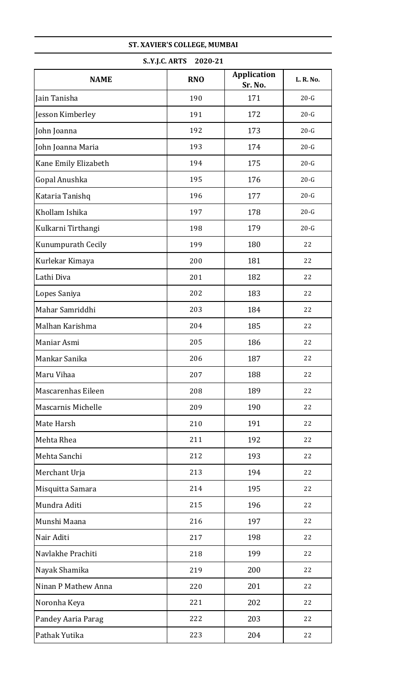| S.Y.J.C. ARTS<br>2020-21 |            |                               |           |
|--------------------------|------------|-------------------------------|-----------|
| <b>NAME</b>              | <b>RNO</b> | <b>Application</b><br>Sr. No. | L. R. No. |
| Jain Tanisha             | 190        | 171                           | $20-G$    |
| Jesson Kimberley         | 191        | 172                           | $20-G$    |
| John Joanna              | 192        | 173                           | $20-G$    |
| John Joanna Maria        | 193        | 174                           | $20-G$    |
| Kane Emily Elizabeth     | 194        | 175                           | $20-G$    |
| Gopal Anushka            | 195        | 176                           | $20-G$    |
| Kataria Tanishq          | 196        | 177                           | $20-G$    |
| Khollam Ishika           | 197        | 178                           | $20-G$    |
| Kulkarni Tirthangi       | 198        | 179                           | $20-G$    |
| Kunumpurath Cecily       | 199        | 180                           | 22        |
| Kurlekar Kimaya          | 200        | 181                           | 22        |
| Lathi Diva               | 201        | 182                           | 22        |
| Lopes Saniya             | 202        | 183                           | 22        |
| Mahar Samriddhi          | 203        | 184                           | 22        |
| Malhan Karishma          | 204        | 185                           | 22        |
| Maniar Asmi              | 205        | 186                           | 22        |
| Mankar Sanika            | 206        | 187                           | 22        |
| Maru Vihaa               | 207        | 188                           | 22        |
| Mascarenhas Eileen       | 208        | 189                           | 22        |
| Mascarnis Michelle       | 209        | 190                           | 22        |
| Mate Harsh               | 210        | 191                           | 22        |
| Mehta Rhea               | 211        | 192                           | 22        |
| Mehta Sanchi             | 212        | 193                           | 22        |
| Merchant Urja            | 213        | 194                           | 22        |
| Misquitta Samara         | 214        | 195                           | 22        |
| Mundra Aditi             | 215        | 196                           | 22        |
| Munshi Maana             | 216        | 197                           | 22        |
| Nair Aditi               | 217        | 198                           | 22        |
| Navlakhe Prachiti        | 218        | 199                           | 22        |
| Nayak Shamika            | 219        | 200                           | 22        |
| Ninan P Mathew Anna      | 220        | 201                           | 22        |
| Noronha Keya             | 221        | 202                           | 22        |
| Pandey Aaria Parag       | 222        | 203                           | 22        |
| Pathak Yutika            | 223        | 204                           | 22        |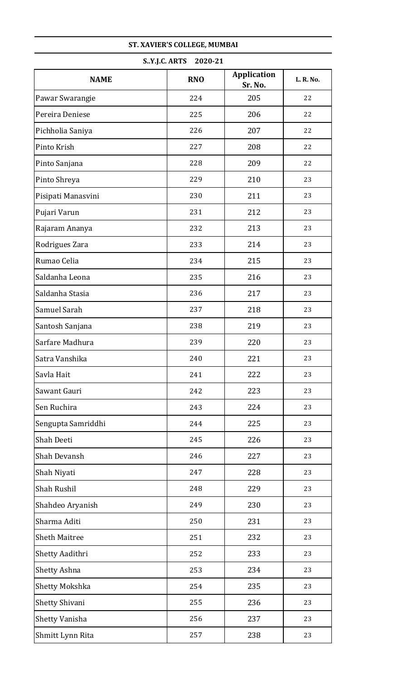| S.Y.J.C. ARTS<br>2020-21 |            |                               |           |
|--------------------------|------------|-------------------------------|-----------|
| <b>NAME</b>              | <b>RNO</b> | <b>Application</b><br>Sr. No. | L. R. No. |
| Pawar Swarangie          | 224        | 205                           | 22        |
| Pereira Deniese          | 225        | 206                           | 22        |
| Pichholia Saniya         | 226        | 207                           | 22        |
| Pinto Krish              | 227        | 208                           | 22        |
| Pinto Sanjana            | 228        | 209                           | 22        |
| Pinto Shreya             | 229        | 210                           | 23        |
| Pisipati Manasvini       | 230        | 211                           | 23        |
| Pujari Varun             | 231        | 212                           | 23        |
| Rajaram Ananya           | 232        | 213                           | 23        |
| Rodrigues Zara           | 233        | 214                           | 23        |
| Rumao Celia              | 234        | 215                           | 23        |
| Saldanha Leona           | 235        | 216                           | 23        |
| Saldanha Stasia          | 236        | 217                           | 23        |
| Samuel Sarah             | 237        | 218                           | 23        |
| Santosh Sanjana          | 238        | 219                           | 23        |
| Sarfare Madhura          | 239        | 220                           | 23        |
| Satra Vanshika           | 240        | 221                           | 23        |
| Savla Hait               | 241        | 222                           | 23        |
| Sawant Gauri             | 242        | 223                           | 23        |
| Sen Ruchira              | 243        | 224                           | 23        |
| Sengupta Samriddhi       | 244        | 225                           | 23        |
| Shah Deeti               | 245        | 226                           | 23        |
| Shah Devansh             | 246        | 227                           | 23        |
| Shah Niyati              | 247        | 228                           | 23        |
| Shah Rushil              | 248        | 229                           | 23        |
| Shahdeo Aryanish         | 249        | 230                           | 23        |
| Sharma Aditi             | 250        | 231                           | 23        |
| <b>Sheth Maitree</b>     | 251        | 232                           | 23        |
| Shetty Aadithri          | 252        | 233                           | 23        |
| Shetty Ashna             | 253        | 234                           | 23        |
| <b>Shetty Mokshka</b>    | 254        | 235                           | 23        |
| Shetty Shivani           | 255        | 236                           | 23        |
| Shetty Vanisha           | 256        | 237                           | 23        |
| Shmitt Lynn Rita         | 257        | 238                           | 23        |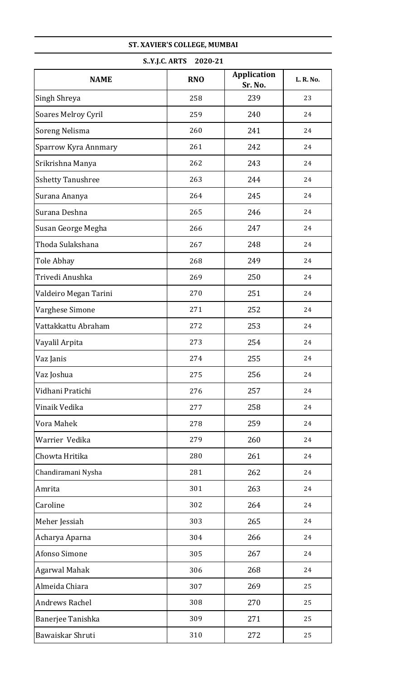| S.Y.J.C. ARTS<br>2020-21   |            |                               |           |
|----------------------------|------------|-------------------------------|-----------|
| <b>NAME</b>                | <b>RNO</b> | <b>Application</b><br>Sr. No. | L. R. No. |
| Singh Shreya               | 258        | 239                           | 23        |
| <b>Soares Melroy Cyril</b> | 259        | 240                           | 24        |
| Soreng Nelisma             | 260        | 241                           | 24        |
| Sparrow Kyra Annmary       | 261        | 242                           | 24        |
| Srikrishna Manya           | 262        | 243                           | 24        |
| <b>Sshetty Tanushree</b>   | 263        | 244                           | 24        |
| Surana Ananya              | 264        | 245                           | 24        |
| Surana Deshna              | 265        | 246                           | 24        |
| Susan George Megha         | 266        | 247                           | 24        |
| Thoda Sulakshana           | 267        | 248                           | 24        |
| Tole Abhay                 | 268        | 249                           | 24        |
| Trivedi Anushka            | 269        | 250                           | 24        |
| Valdeiro Megan Tarini      | 270        | 251                           | 24        |
| Varghese Simone            | 271        | 252                           | 24        |
| Vattakkattu Abraham        | 272        | 253                           | 24        |
| Vayalil Arpita             | 273        | 254                           | 24        |
| Vaz Janis                  | 274        | 255                           | 24        |
| Vaz Joshua                 | 275        | 256                           | 24        |
| Vidhani Pratichi           | 276        | 257                           | 24        |
| Vinaik Vedika              | 277        | 258                           | 24        |
| Vora Mahek                 | 278        | 259                           | 24        |
| Warrier Vedika             | 279        | 260                           | 24        |
| Chowta Hritika             | 280        | 261                           | 24        |
| Chandiramani Nysha         | 281        | 262                           | 24        |
| Amrita                     | 301        | 263                           | 24        |
| Caroline                   | 302        | 264                           | 24        |
| Meher Jessiah              | 303        | 265                           | 24        |
| Acharya Aparna             | 304        | 266                           | 24        |
| Afonso Simone              | 305        | 267                           | 24        |
| <b>Agarwal Mahak</b>       | 306        | 268                           | 24        |
| Almeida Chiara             | 307        | 269                           | 25        |
| <b>Andrews Rachel</b>      | 308        | 270                           | 25        |
| Banerjee Tanishka          | 309        | 271                           | 25        |
| Bawaiskar Shruti           | 310        | 272                           | 25        |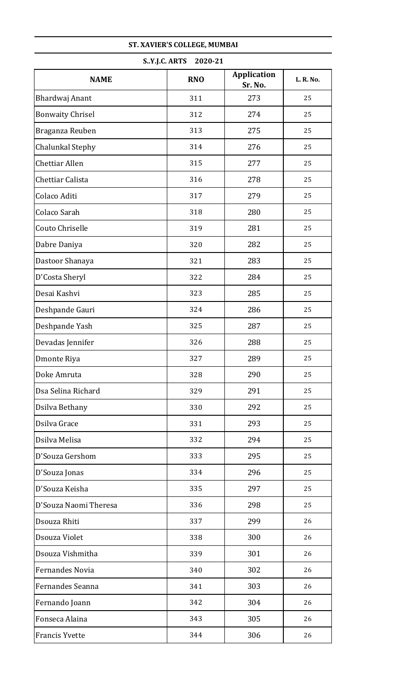| S.Y.J.C. ARTS<br>2020-21 |            |                               |           |  |
|--------------------------|------------|-------------------------------|-----------|--|
| <b>NAME</b>              | <b>RNO</b> | <b>Application</b><br>Sr. No. | L. R. No. |  |
| Bhardwaj Anant           | 311        | 273                           | 25        |  |
| <b>Bonwaity Chrisel</b>  | 312        | 274                           | 25        |  |
| Braganza Reuben          | 313        | 275                           | 25        |  |
| Chalunkal Stephy         | 314        | 276                           | 25        |  |
| <b>Chettiar Allen</b>    | 315        | 277                           | 25        |  |
| Chettiar Calista         | 316        | 278                           | 25        |  |
| Colaco Aditi             | 317        | 279                           | 25        |  |
| Colaco Sarah             | 318        | 280                           | 25        |  |
| Couto Chriselle          | 319        | 281                           | 25        |  |
| Dabre Daniya             | 320        | 282                           | 25        |  |
| Dastoor Shanaya          | 321        | 283                           | 25        |  |
| D'Costa Sheryl           | 322        | 284                           | 25        |  |
| Desai Kashvi             | 323        | 285                           | 25        |  |
| Deshpande Gauri          | 324        | 286                           | 25        |  |
| Deshpande Yash           | 325        | 287                           | 25        |  |
| Devadas Jennifer         | 326        | 288                           | 25        |  |
| Dmonte Riya              | 327        | 289                           | 25        |  |
| Doke Amruta              | 328        | 290                           | 25        |  |
| Dsa Selina Richard       | 329        | 291                           | 25        |  |
| Dsilva Bethany           | 330        | 292                           | 25        |  |
| Dsilva Grace             | 331        | 293                           | 25        |  |
| Dsilva Melisa            | 332        | 294                           | 25        |  |
| D'Souza Gershom          | 333        | 295                           | 25        |  |
| D'Souza Jonas            | 334        | 296                           | 25        |  |
| D'Souza Keisha           | 335        | 297                           | 25        |  |
| D'Souza Naomi Theresa    | 336        | 298                           | 25        |  |
| Dsouza Rhiti             | 337        | 299                           | 26        |  |
| Dsouza Violet            | 338        | 300                           | 26        |  |
| Dsouza Vishmitha         | 339        | 301                           | 26        |  |
| Fernandes Novia          | 340        | 302                           | 26        |  |
| Fernandes Seanna         | 341        | 303                           | 26        |  |
| Fernando Joann           | 342        | 304                           | 26        |  |
| Fonseca Alaina           | 343        | 305                           | 26        |  |
| <b>Francis Yvette</b>    | 344        | 306                           | 26        |  |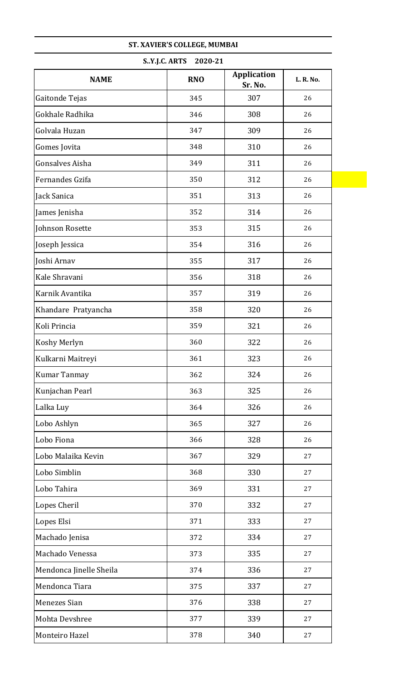|                         | S.Y.J.C. ARTS<br>2020-21 |                               |           |
|-------------------------|--------------------------|-------------------------------|-----------|
| <b>NAME</b>             | <b>RNO</b>               | <b>Application</b><br>Sr. No. | L. R. No. |
| Gaitonde Tejas          | 345                      | 307                           | 26        |
| Gokhale Radhika         | 346                      | 308                           | 26        |
| Golvala Huzan           | 347                      | 309                           | 26        |
| Gomes Jovita            | 348                      | 310                           | 26        |
| <b>Gonsalves Aisha</b>  | 349                      | 311                           | 26        |
| Fernandes Gzifa         | 350                      | 312                           | 26        |
| Jack Sanica             | 351                      | 313                           | 26        |
| James Jenisha           | 352                      | 314                           | 26        |
| Johnson Rosette         | 353                      | 315                           | 26        |
| Joseph Jessica          | 354                      | 316                           | 26        |
| Joshi Arnav             | 355                      | 317                           | 26        |
| Kale Shravani           | 356                      | 318                           | 26        |
| Karnik Avantika         | 357                      | 319                           | 26        |
| Khandare Pratyancha     | 358                      | 320                           | 26        |
| Koli Princia            | 359                      | 321                           | 26        |
| <b>Koshy Merlyn</b>     | 360                      | 322                           | 26        |
| Kulkarni Maitreyi       | 361                      | 323                           | 26        |
| <b>Kumar Tanmay</b>     | 362                      | 324                           | 26        |
| Kunjachan Pearl         | 363                      | 325                           | 26        |
| Lalka Luy               | 364                      | 326                           | 26        |
| Lobo Ashlyn             | 365                      | 327                           | 26        |
| Lobo Fiona              | 366                      | 328                           | 26        |
| Lobo Malaika Kevin      | 367                      | 329                           | 27        |
| Lobo Simblin            | 368                      | 330                           | 27        |
| Lobo Tahira             | 369                      | 331                           | 27        |
| Lopes Cheril            | 370                      | 332                           | 27        |
| Lopes Elsi              | 371                      | 333                           | 27        |
| Machado Jenisa          | 372                      | 334                           | 27        |
| Machado Venessa         | 373                      | 335                           | 27        |
| Mendonca Jinelle Sheila | 374                      | 336                           | 27        |
| Mendonca Tiara          | 375                      | 337                           | 27        |
| Menezes Sian            | 376                      | 338                           | 27        |
| Mohta Devshree          | 377                      | 339                           | 27        |
| Monteiro Hazel          | 378                      | 340                           | 27        |
|                         |                          |                               |           |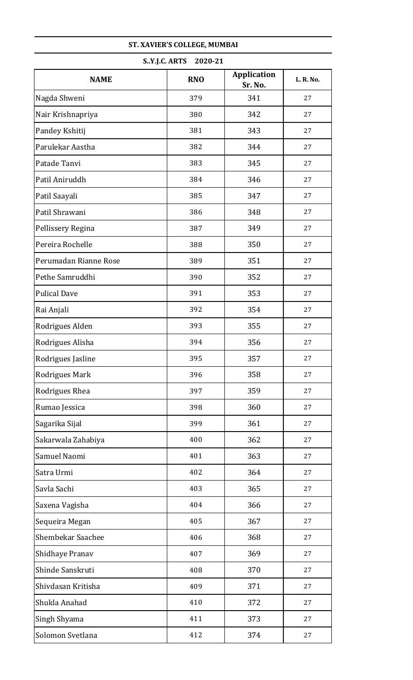| S.Y.J.C. ARTS<br>2020-21 |            |                               |           |
|--------------------------|------------|-------------------------------|-----------|
| <b>NAME</b>              | <b>RNO</b> | <b>Application</b><br>Sr. No. | L. R. No. |
| Nagda Shweni             | 379        | 341                           | 27        |
| Nair Krishnapriya        | 380        | 342                           | 27        |
| Pandey Kshitij           | 381        | 343                           | 27        |
| Parulekar Aastha         | 382        | 344                           | 27        |
| Patade Tanvi             | 383        | 345                           | 27        |
| Patil Aniruddh           | 384        | 346                           | 27        |
| Patil Saayali            | 385        | 347                           | 27        |
| Patil Shrawani           | 386        | 348                           | 27        |
| Pellissery Regina        | 387        | 349                           | 27        |
| Pereira Rochelle         | 388        | 350                           | 27        |
| Perumadan Rianne Rose    | 389        | 351                           | 27        |
| Pethe Samruddhi          | 390        | 352                           | 27        |
| <b>Pulical Dave</b>      | 391        | 353                           | 27        |
| Rai Anjali               | 392        | 354                           | 27        |
| Rodrigues Alden          | 393        | 355                           | 27        |
| Rodrigues Alisha         | 394        | 356                           | 27        |
| Rodrigues Jasline        | 395        | 357                           | 27        |
| Rodrigues Mark           | 396        | 358                           | 27        |
| Rodrigues Rhea           | 397        | 359                           | 27        |
| Rumao Jessica            | 398        | 360                           | 27        |
| Sagarika Sijal           | 399        | 361                           | 27        |
| Sakarwala Zahabiya       | 400        | 362                           | 27        |
| Samuel Naomi             | 401        | 363                           | 27        |
| Satra Urmi               | 402        | 364                           | 27        |
| Savla Sachi              | 403        | 365                           | 27        |
| Saxena Vagisha           | 404        | 366                           | 27        |
| Sequeira Megan           | 405        | 367                           | 27        |
| <b>Shembekar Saachee</b> | 406        | 368                           | 27        |
| Shidhaye Pranav          | 407        | 369                           | 27        |
| Shinde Sanskruti         | 408        | 370                           | 27        |
| Shivdasan Kritisha       | 409        | 371                           | 27        |
| Shukla Anahad            | 410        | 372                           | 27        |
| Singh Shyama             | 411        | 373                           | 27        |
| Solomon Svetlana         | 412        | 374                           | 27        |